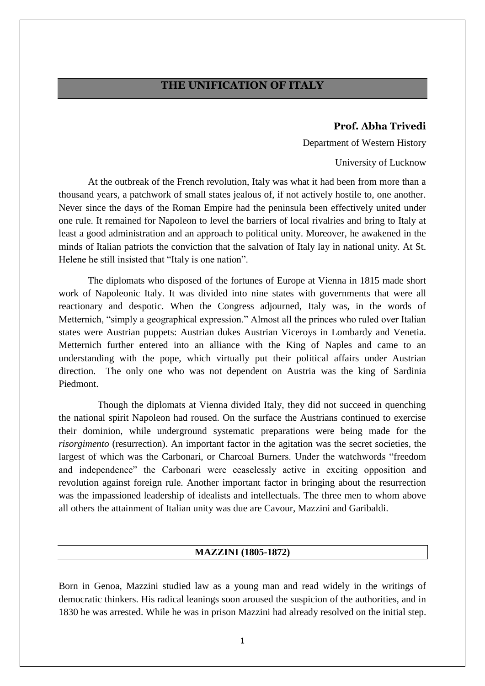# **THE UNIFICATION OF ITALY**

#### **Prof. Abha Trivedi**

Department of Western History

University of Lucknow

At the outbreak of the French revolution, Italy was what it had been from more than a thousand years, a patchwork of small states jealous of, if not actively hostile to, one another. Never since the days of the Roman Empire had the peninsula been effectively united under one rule. It remained for Napoleon to level the barriers of local rivalries and bring to Italy at least a good administration and an approach to political unity. Moreover, he awakened in the minds of Italian patriots the conviction that the salvation of Italy lay in national unity. At St. Helene he still insisted that "Italy is one nation".

The diplomats who disposed of the fortunes of Europe at Vienna in 1815 made short work of Napoleonic Italy. It was divided into nine states with governments that were all reactionary and despotic. When the Congress adjourned, Italy was, in the words of Metternich, "simply a geographical expression." Almost all the princes who ruled over Italian states were Austrian puppets: Austrian dukes Austrian Viceroys in Lombardy and Venetia. Metternich further entered into an alliance with the King of Naples and came to an understanding with the pope, which virtually put their political affairs under Austrian direction. The only one who was not dependent on Austria was the king of Sardinia Piedmont.

 Though the diplomats at Vienna divided Italy, they did not succeed in quenching the national spirit Napoleon had roused. On the surface the Austrians continued to exercise their dominion, while underground systematic preparations were being made for the *risorgimento* (resurrection). An important factor in the agitation was the secret societies, the largest of which was the Carbonari, or Charcoal Burners. Under the watchwords "freedom and independence" the Carbonari were ceaselessly active in exciting opposition and revolution against foreign rule. Another important factor in bringing about the resurrection was the impassioned leadership of idealists and intellectuals. The three men to whom above all others the attainment of Italian unity was due are Cavour, Mazzini and Garibaldi.

#### **MAZZINI (1805-1872)**

Born in Genoa, Mazzini studied law as a young man and read widely in the writings of democratic thinkers. His radical leanings soon aroused the suspicion of the authorities, and in 1830 he was arrested. While he was in prison Mazzini had already resolved on the initial step.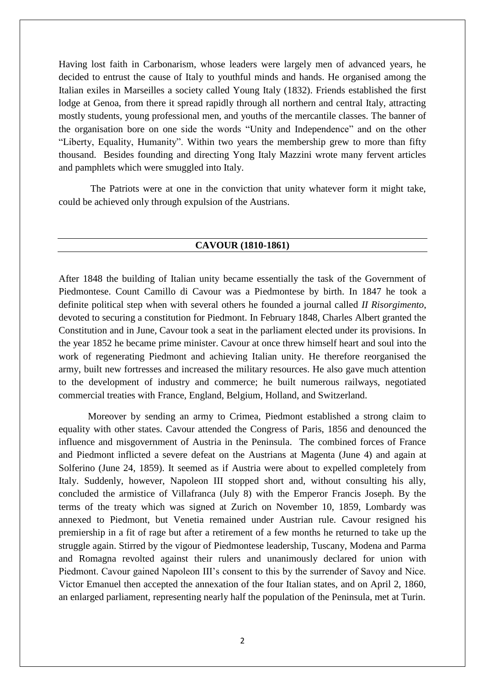Having lost faith in Carbonarism, whose leaders were largely men of advanced years, he decided to entrust the cause of Italy to youthful minds and hands. He organised among the Italian exiles in Marseilles a society called Young Italy (1832). Friends established the first lodge at Genoa, from there it spread rapidly through all northern and central Italy, attracting mostly students, young professional men, and youths of the mercantile classes. The banner of the organisation bore on one side the words "Unity and Independence" and on the other "Liberty, Equality, Humanity". Within two years the membership grew to more than fifty thousand. Besides founding and directing Yong Italy Mazzini wrote many fervent articles and pamphlets which were smuggled into Italy.

The Patriots were at one in the conviction that unity whatever form it might take, could be achieved only through expulsion of the Austrians.

#### **CAVOUR (1810-1861)**

After 1848 the building of Italian unity became essentially the task of the Government of Piedmontese. Count Camillo di Cavour was a Piedmontese by birth. In 1847 he took a definite political step when with several others he founded a journal called *II Risorgimento*, devoted to securing a constitution for Piedmont. In February 1848, Charles Albert granted the Constitution and in June, Cavour took a seat in the parliament elected under its provisions. In the year 1852 he became prime minister. Cavour at once threw himself heart and soul into the work of regenerating Piedmont and achieving Italian unity. He therefore reorganised the army, built new fortresses and increased the military resources. He also gave much attention to the development of industry and commerce; he built numerous railways, negotiated commercial treaties with France, England, Belgium, Holland, and Switzerland.

Moreover by sending an army to Crimea, Piedmont established a strong claim to equality with other states. Cavour attended the Congress of Paris, 1856 and denounced the influence and misgovernment of Austria in the Peninsula. The combined forces of France and Piedmont inflicted a severe defeat on the Austrians at Magenta (June 4) and again at Solferino (June 24, 1859). It seemed as if Austria were about to expelled completely from Italy. Suddenly, however, Napoleon III stopped short and, without consulting his ally, concluded the armistice of Villafranca (July 8) with the Emperor Francis Joseph. By the terms of the treaty which was signed at Zurich on November 10, 1859, Lombardy was annexed to Piedmont, but Venetia remained under Austrian rule. Cavour resigned his premiership in a fit of rage but after a retirement of a few months he returned to take up the struggle again. Stirred by the vigour of Piedmontese leadership, Tuscany, Modena and Parma and Romagna revolted against their rulers and unanimously declared for union with Piedmont. Cavour gained Napoleon III's consent to this by the surrender of Savoy and Nice. Victor Emanuel then accepted the annexation of the four Italian states, and on April 2, 1860, an enlarged parliament, representing nearly half the population of the Peninsula, met at Turin.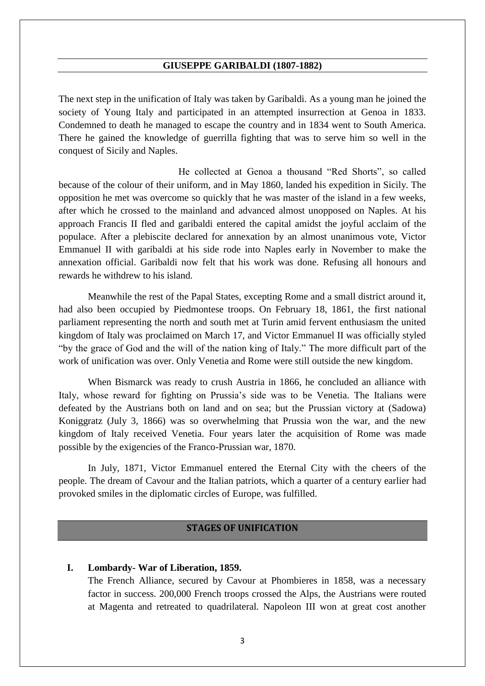#### **GIUSEPPE GARIBALDI (1807-1882)**

The next step in the unification of Italy was taken by Garibaldi. As a young man he joined the society of Young Italy and participated in an attempted insurrection at Genoa in 1833. Condemned to death he managed to escape the country and in 1834 went to South America. There he gained the knowledge of guerrilla fighting that was to serve him so well in the conquest of Sicily and Naples.

 He collected at Genoa a thousand "Red Shorts", so called because of the colour of their uniform, and in May 1860, landed his expedition in Sicily. The opposition he met was overcome so quickly that he was master of the island in a few weeks, after which he crossed to the mainland and advanced almost unopposed on Naples. At his approach Francis II fled and garibaldi entered the capital amidst the joyful acclaim of the populace. After a plebiscite declared for annexation by an almost unanimous vote, Victor Emmanuel II with garibaldi at his side rode into Naples early in November to make the annexation official. Garibaldi now felt that his work was done. Refusing all honours and rewards he withdrew to his island.

Meanwhile the rest of the Papal States, excepting Rome and a small district around it, had also been occupied by Piedmontese troops. On February 18, 1861, the first national parliament representing the north and south met at Turin amid fervent enthusiasm the united kingdom of Italy was proclaimed on March 17, and Victor Emmanuel II was officially styled "by the grace of God and the will of the nation king of Italy." The more difficult part of the work of unification was over. Only Venetia and Rome were still outside the new kingdom.

When Bismarck was ready to crush Austria in 1866, he concluded an alliance with Italy, whose reward for fighting on Prussia's side was to be Venetia. The Italians were defeated by the Austrians both on land and on sea; but the Prussian victory at (Sadowa) Koniggratz (July 3, 1866) was so overwhelming that Prussia won the war, and the new kingdom of Italy received Venetia. Four years later the acquisition of Rome was made possible by the exigencies of the Franco-Prussian war, 1870.

In July, 1871, Victor Emmanuel entered the Eternal City with the cheers of the people. The dream of Cavour and the Italian patriots, which a quarter of a century earlier had provoked smiles in the diplomatic circles of Europe, was fulfilled.

#### **STAGES OF UNIFICATION**

#### **I. Lombardy- War of Liberation, 1859.**

The French Alliance, secured by Cavour at Phombieres in 1858, was a necessary factor in success. 200,000 French troops crossed the Alps, the Austrians were routed at Magenta and retreated to quadrilateral. Napoleon III won at great cost another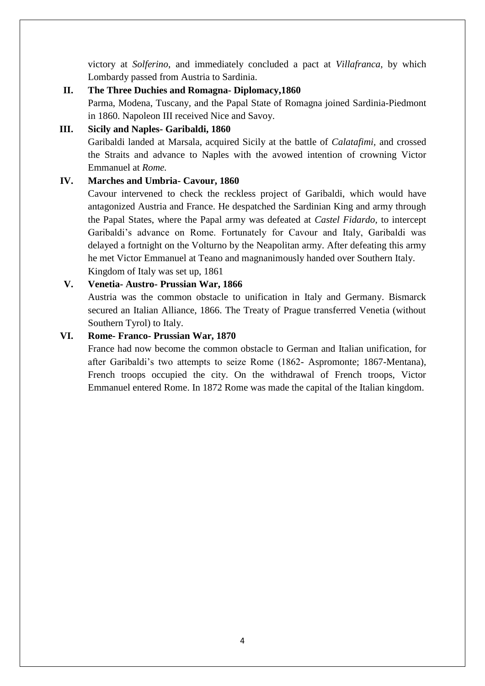victory at *Solferino*, and immediately concluded a pact at *Villafranca,* by which Lombardy passed from Austria to Sardinia.

# **II. The Three Duchies and Romagna- Diplomacy,1860**

Parma, Modena, Tuscany, and the Papal State of Romagna joined Sardinia-Piedmont in 1860. Napoleon III received Nice and Savoy.

# **III. Sicily and Naples- Garibaldi, 1860**

Garibaldi landed at Marsala, acquired Sicily at the battle of *Calatafimi,* and crossed the Straits and advance to Naples with the avowed intention of crowning Victor Emmanuel at *Rome.*

## **IV. Marches and Umbria- Cavour, 1860**

Cavour intervened to check the reckless project of Garibaldi, which would have antagonized Austria and France. He despatched the Sardinian King and army through the Papal States, where the Papal army was defeated at *Castel Fidardo,* to intercept Garibaldi's advance on Rome. Fortunately for Cavour and Italy, Garibaldi was delayed a fortnight on the Volturno by the Neapolitan army. After defeating this army he met Victor Emmanuel at Teano and magnanimously handed over Southern Italy. Kingdom of Italy was set up, 1861

## **V. Venetia- Austro- Prussian War, 1866**

Austria was the common obstacle to unification in Italy and Germany. Bismarck secured an Italian Alliance, 1866. The Treaty of Prague transferred Venetia (without Southern Tyrol) to Italy.

## **VI. Rome- Franco- Prussian War, 1870**

France had now become the common obstacle to German and Italian unification, for after Garibaldi's two attempts to seize Rome (1862- Aspromonte; 1867-Mentana), French troops occupied the city. On the withdrawal of French troops, Victor Emmanuel entered Rome. In 1872 Rome was made the capital of the Italian kingdom.